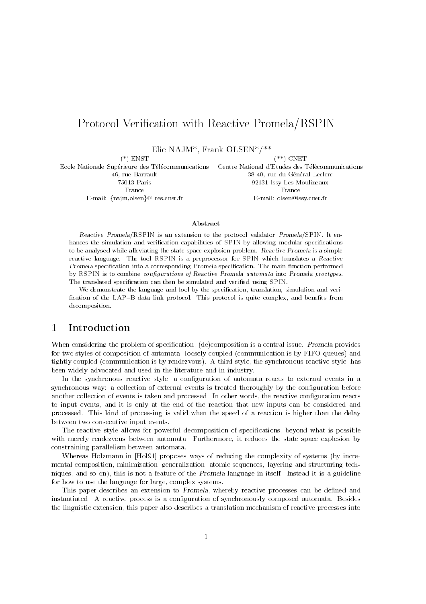# Protocol Verification with Reactive Promela/RSPIN

Elie NAJM\*, Frank OLSEN\*/\*\*

(\*) ENSTEcole Nationale Supérieure des Télécommunications 46, rue Barrault75013 ParisFrance

 $(**)$  CNET Centre National d'Etudes des Telecommunications 38-40, rue du Général Leclerc <sup>92131</sup> Issy-Les-Moulineaux France E-mail: fna jm,olseng@ res.enst.fr E-mail: olsen@issy.cnet.fr

#### Abstract

Reactive Promela/RSPIN is an extension to the protocol validator Promela/SPIN. It enhances the simulation and verication capabilities of SPIN by allowing modular specications to be analysed while alleviating the state-space explosion problem. Reactive Promela is a simple reactive language. The tool RSPIN is a preprocessor for SPIN which translates a Reactive Promela specification into a corresponding Promela specification. The main function performed by RSPIN is to combine *configurations of Reactive Promela automata* into *Promela proctypes*. The translated specification can then be simulated and verified using SPIN.

We demonstrate the language and tool by the specification, translation, simulation and verification of the LAP-B data link protocol. This protocol is quite complex, and benefits from decomposition.

When considering the problem of specification, (de)composition is a central issue. Promela provides for two styles of composition of automata: loosely coupled (communication is by FIFO queues) and tightly coupled (communication is by rendezvous). A third style, the synchronous reactive style, has been widely advocated and used in the literature and in industry.

In the synchronous reactive style, a configuration of automata reacts to external events in a synchronous way: a collection of external events is treated thoroughly by the configuration before another collection of events is taken and processed. In other words, the reactive conguration reacts to input events, and it is only at the end of the reaction that new inputs can be considered and processed. This kind of processing is valid when the speed of a reaction is higher than the delay between two consecutive input events.

The reactive style allows for powerful decomposition of specications, beyond what is possible with merely rendezvous between automata. Furthermore, it reduces the state space explosion by constraining parallelism between automata.

Whereas Holzmann in [Hol91] proposes ways of reducing the complexity of systems (by incre mental composition, minimization, generalization, atomic sequences, layering and structuring techniques, and so on), this is not a feature of the Promela language in itself. Instead it is a guideline for how to use the language for large, complex systems.

This paper describes an extension to Promela, whereby reactive processes can be defined and instantiated. A reactive process is a conguration of synchronously composed automata. Besides the linguistic extension, this paper also describes a translation mechanism of reactive processes into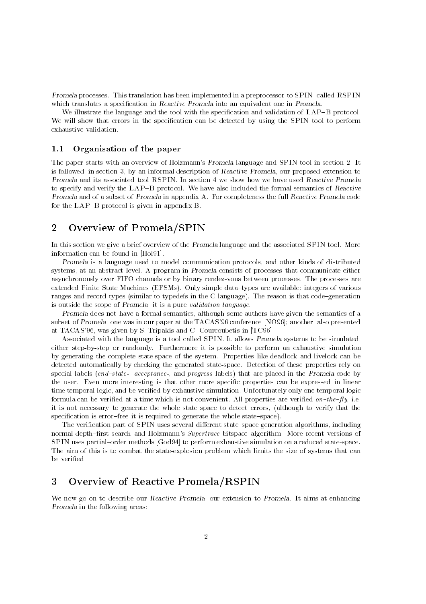Promela processes. This translation has been implemented in a preprocessor to SPIN, called RSPIN which translates a specification in Reactive Promela into an equivalent one in Promela.

We illustrate the language and the tool with the specification and validation of  $\text{LAP-B}$  protocol. We will show that errors in the specification can be detected by using the SPIN tool to perform exhaustive validation.

#### Organisation of the paper  $1.1$

The paper starts with an overview of Holzmann's Promela language and SPIN tool in section 2. It is followed, in section 3, by an informal description of Reactive Promela, our proposed extension to Promela and its associated tool RSPIN. In section 4 we show how we have used Reactive Promela to specify and verify the LAP-B protocol. We have also included the formal semantics of Reactive Promela and of a subset of Promela in appendix A. For completeness the full Reactive Promela code for the  $LAP-B$  protocol is given in appendix B.

#### Overview of Promela/SPIN  $\overline{2}$

In this section we give a brief overview of the Promela language and the associated SPIN tool. More information can be found in [Hol91].

Promela is a language used to model communication protocols, and other kinds of distributed systems, at an abstract level. A program in Promela consists of processes that communicate either asynchronously over FIFO channels or by binary rendez-vous between processes. The processes are extended Finite State Machines (EFSMs). Only simple data-types are available: integers of various ranges and record types (similar to typedefs in the C language). The reason is that code-generation is outside the scope of Promela: it is a pure validation language.

Promela does not have a formal semantics, although some authors have given the semantics of a subset of Promela: one was in our paper at the TACAS'96 conference [NO96]; another, also presented at TACAS'96, was given by S. Tripakis and C. Courcoubetis in [TC96].

Associated with the language is a tool called SPIN. It allows Promela systems to be simulated, either step-by-step or randomly. Furthermore it is possible to perform an exhaustive simulation by generating the complete state-space of the system. Properties like deadlock and livelock can be detected automatically by checking the generated state-space. Detection of these properties rely on special labels (end-state-, acceptance-, and progress labels) that are placed in the Promela code by the user. Even more interesting is that other more specific properties can be expressed in linear time temporal logic, and be veried by exhaustive simulation. Unfortunately only one temporal logic formula can be verified at a time which is not convenient. All properties are verified on-the-fly, i.e. it is not necessary to generate the whole state space to detect errors, (although to verify that the specification is error-free it is required to generate the whole state-space).

The verification part of SPIN uses several different state-space generation algorithms, including normal depth-first search and Holzmann's Supertrace bitspace algorithm. More recent versions of SPIN uses partial-order methods [God94] to perform exhaustive simulation on a reduced state-space. The aim of this is to combat the state-explosion problem which limits the size of systems that can be verified.

#### 3 3 Overview of Reactive Promela/RSPIN

We now go on to describe our Reactive Promela, our extension to Promela. It aims at enhancing Promela in the following areas: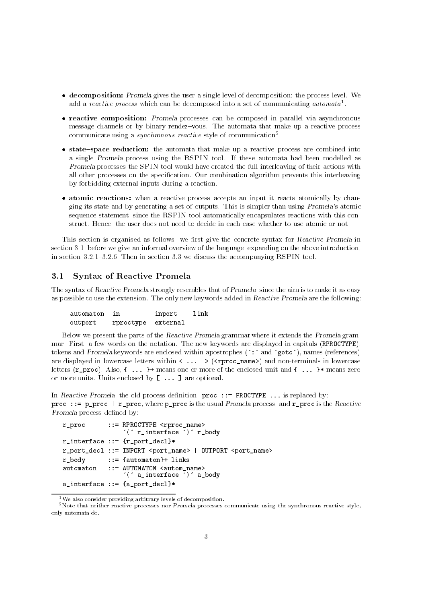- decomposition: Promela gives the user a single level of decomposition: the process level. We add a *reactive process* which can be decomposed into a set of communicating *automata* .
- reactive composition: Promela processes can be composed in parallel via asynchronous message channels or by binary rendez-vous. The automata that make up a reactive process communicate using a *synchronous reactive* style of communication<sup>2</sup>
- $\bullet$  state-space reduction: the automata that make up a reactive process are combined into a single Promela process using the RSPIN tool. If these automata had been modelled as Promela processes the SPIN tool would have created the full interleaving of their actions with all other processes on the specification. Our combination algorithm prevents this interleaving by forbidding external inputs during a reaction.
- atomic reactions: when a reactive process accepts an input it reacts atomically by changing its state and by generating a set of outputs. This is simpler than using Promela's atomic sequence statement, since the RSPIN tool automatically encapsulates reactions with this construct. Hence, the user does not need to decide in each case whether to use atomic or not.

This section is organised as follows: we first give the concrete syntax for Reactive Promela in section 3.1, before we give an informal overview of the language, expanding on the above introduction, in section  $3.2.1{\text -}3.2.6$ . Then in section 3.3 we discuss the accompanying RSPIN tool.

### 3.1 Syntax of Reactive Promela

The syntax of Reactive Promela strongly resembles that of Promela, since the aim is to make it as easy as possible to use the extension. The only new keywords added in Reactive Promela are the following:

| automaton |                    | inport | link |  |
|-----------|--------------------|--------|------|--|
| outport   | rproctype external |        |      |  |

Below we present the parts of the Reactive Promela grammar where it extends the Promela gram mar. First, a few words on the notation. The new keywords are displayed in capitals (RPROCTYPE), tokens and Promela keywords are enclosed within apostrophes (':' and 'goto'), names (references) are displayed in lowercase letters within  $\langle \ldots \rangle$  ( $\langle \text{rproc_name>} \rangle$  and non-terminals in lowercase letters  $(r\_proc)$ . Also,  $\{ \ldots \}$ + means one or more of the enclosed unit and  $\{ \ldots \}$ \* means zero or more units. Units enclosed by [ ... ] are optional.

In Reactive Promela, the old process definition:  $proc :: = PROCTYPE ...$  is replaced by: proc ::=  $p\_proc$  |  $r\_proc$ , where  $p\_proc$  is the usual *Promela* process, and  $r\_proc$  is the *Reactive* Promela process defined by:

```
r_proc ::= RPROCTYPE <rproc_name>
                   '(' r_interface ')' r_body
r_{\text{interface}} := \{r_{\text{port\_decl}}\} *r_port_decl ::= INPORT <port_name> | OUTPORT <port_name>
r body ::= {automaton}+ links
automaton ::= AUTOMATON <autom_name>
                    \prime (^{\prime} a_interface ^{\overline{\prime}} ) ^{\prime} a_body
a_interface ::= {a_port_decl}*
```
 $1$ We also consider providing arbitrary levels of decomposition.

<sup>&</sup>lt;sup>2</sup>Note that neither reactive processes nor Promela processes communicate using the synchronous reactive style, only automata do.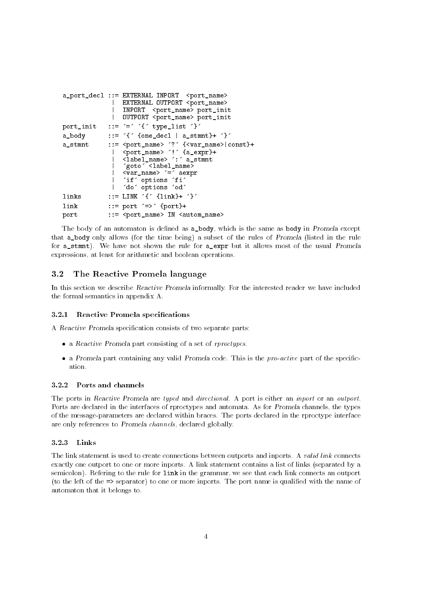```
a_{\text{port\_decl}} ::= EXTERNAL INPORT <port_name>
                EXTERNAL OUTPORT <port_name>
                | INPORT <port_name> port_init
             | OUTPORT <port_name> port_init
port_init ::= '=' '{' type_list '}'
a_body ::= '{' {one_decl | a_stmnt}+ '}'
a_stmnt ::= \langle port_name> '?' \{\langle var\_name \rangle | const}+
             | <port_name> '!' {a_expr}+
             | <label_name> ':' a_stmnt
                | 'goto' <label_name>
                | <var_name> '=' aexpr
                'if' options 'fi'
             | 'do' options 'od'
links ::= LINK '{' {link}+ '}'
link ::= port '=>' {port}+
port ::= <port_name> IN <autom_name>
```
The body of an automaton is defined as a\_body, which is the same as body in Promela except that a\_body only allows (for the time being) a subset of the rules of Promela (listed in the rule for a\_stmnt). We have not shown the rule for a\_expr but it allows most of the usual Promela expressions, at least for arithmetic and boolean operations.

#### The Reactive Promela language  $3.2$

In this section we describe Reactive Promela informally. For the interested reader we have included the formal semantics in appendix A.

#### 3.2.1 Reactive Promela specifications

A Reactive Promela specification consists of two separate parts:

- a Reactive Promela part consisting of a set of *rproctypes*.
- $\bullet$  a Promela part containing any valid Promela code. This is the pro-active part of the specification.

### 3.2.2 Ports and channels

The ports in Reactive Promela are typed and directional. A port is either an inport or an outport. Ports are declared in the interfaces of rproctypes and automata. As for Promela channels, the types of the message-parameters are declared within braces. The ports declared in the rproctype interface are only references to Promela channels, declared globally.

#### 3.2.3 Links

The link statement is used to create connections between outports and inports. A valid link connects exactly one outport to one or more inports. A link statement contains a list of links (separated by a semicolon). Refering to the rule for link in the grammar, we see that each link connects an outport (to the left of the => separator) to one or more inports. The port name is qualied with the name of automaton that it belongs to.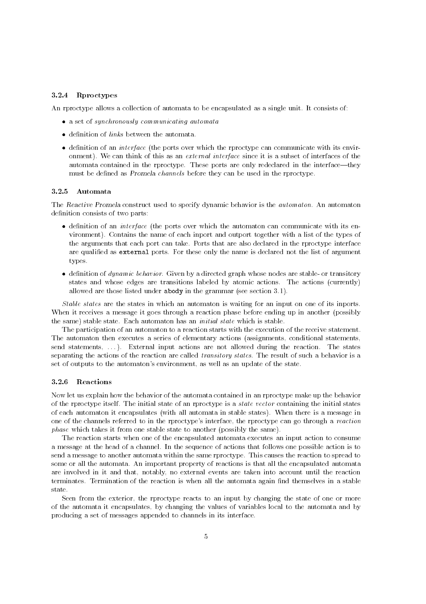#### 3.2.4 Rproctypes

An rproctype allows a collection of automata to be encapsulated as a single unit. It consists of:

- a set of synchronously communicating automata
- $\bullet$  definition of *links* between the automata.
- $\bullet$  definition of an *interface* (the ports over which the rproctype can communicate with its environment). We can think of this as an external interface since it is a subset of interfaces of the automata contained in the rproctype. These ports are only redeclared in the interface—they must be defined as Promela channels before they can be used in the rproctype.

#### 3.2.5 Automata

The Reactive Promela construct used to specify dynamic behavior is the automaton. An automaton definition consists of two parts:

- $\bullet$  definition of an *interface* (the ports over which the automaton can communicate with its environment). Contains the name of each inport and outport together with a list of the types of the arguments that each port can take. Ports that are also declared in the rproctype interface are qualified as external ports. For these only the name is declared not the list of argument types.
- $\bullet$  definition of *dynamic behavior*. Given by a directed graph whose nodes are stable- or transitory states and whose edges are transitions labeled by atomic actions. The actions (currently) allowed are those listed under abody in the grammar (see section 3.1).

Stable states are the states in which an automaton is waiting for an input on one of its inports. When it receives a message it goes through a reaction phase before ending up in another (possibly the same) stable state. Each automaton has an *initial state* which is stable.

The participation of an automaton to a reaction starts with the execution of the receive statement. The automaton then executes a series of elementary actions (assignments, conditional statements, send statements, ...). External input actions are not allowed during the reaction. The states separating the actions of the reaction are called *transitory states*. The result of such a behavior is a set of outputs to the automaton's environment, as well as an update of the state.

Now let us explain how the behavior of the automata contained in an rproctype make up the behavior of the rproctype itself. The initial state of an rproctype is a state vector containing the initial states of each automaton it encapsulates (with all automata in stable states). When there is a message in one of the channels referred to in the rproctype's interface, the rproctype can go through a reaction phase which takes it from one stable state to another (possibly the same).

The reaction starts when one of the encapsulated automata executes an input action to consume a message at the head of a channel. In the sequence of actions that follows one possible action is to sendamessage to another automata within the same rproctype. This causes the reaction to spread to some or all the automata. An important property of reactions is that all the encapsulated automata are involved in it and that, notably, no external events are taken into account until the reaction terminates. Termination of the reaction is when all the automata again find themselves in a stable state.

Seen from the exterior, the rproctype reacts to an input by changing the state of one or more of the automata it encapsulates, by changing the values of variables local to the automata and by producing a set of messages appended to channels in its interface.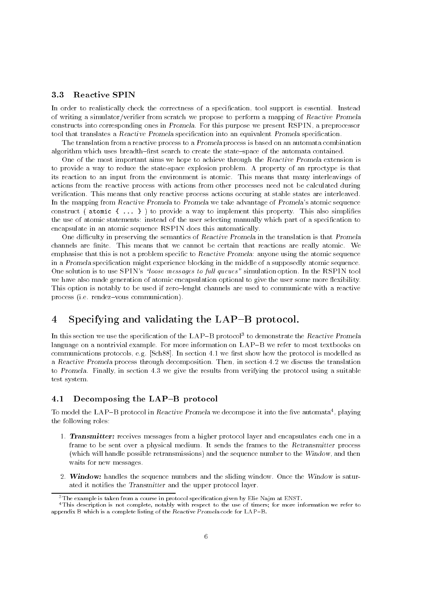#### **Reactive SPIN**  $3.3$

In order to realistically check the correctness of a specification, tool support is essential. Instead of writing a simulator/verifier from scratch we propose to perform a mapping of Reactive Promela constructs into corresponding ones in Promela. For this purpose we present RSPIN, a preprocessor tool that translates a Reactive Promela specication into an equivalent Promela specication.

The translation from a reactive process to a Promela process is based on an automata combination algorithm which uses breadth-first search to create the state-space of the automata contained.

One of the most important aims we hope to achieve through the Reactive Promela extension is to provideaway to reduce the state-space explosion problem. A property of an rproctype is that its reaction to an input from the environment is atomic. This means that many interleavings of actions from the reactive process with actions from other processes need not be calculated during verification. This means that only reactive process actions occuring at stable states are interleaved. In the mapping from Reactive Promela to Promela we take advantage of Promela's atomic sequence construct ( $\alpha$  atomic  $\{\ldots\}$ ) to provide a way to implement this property. This also simplifies the use of atomic statements: instead of the user selecting manually which part of a specification to encapsulate in an atomic sequence RSPIN does this automatically.

One difficulty in preserving the semantics of Reactive Promela in the translation is that Promela channels are finite. This means that we cannot be certain that reactions are really atomic. We emphasise that this is not a problem specific to Reactive Promela: anyone using the atomic sequence in a Promela specification might experience blocking in the middle of a supposedly atomic sequence. One solution is to use SPIN's "loose messages to full queues" simulation option. In the RSPIN tool we have also made generation of atomic encapsulation optional to give the user some more flexibility. This option is notably to be used if zero-lenght channels are used to communicate with a reactive process (i.e. rendez-vous communication).

#### Specifying and validating the  $LAP-B$  protocol.  $\overline{4}$

In this section we use the specification of the  $\text{LAP-B}$  protocol $^{\circ}$  to demonstrate the Reactive Promela  $^{\circ}$ language on a nontrivial example. For more information on LAP-B we refer to most textbooks on communications protocols, e.g. [Sch88]. In section 4.1 we first show how the protocol is modelled as a Reactive Promela process through decomposition. Then, in section 4.2 we discuss the translation to Promela. Finally, in section 4.3 we give the results from verifying the protocol using a suitable test system.

### 4.1 Decomposing the LAP-B protocol

To model the LAP-B protocol in Reactive Promela we decompose it into the live automata finallying the following roles:

- 1. Transmitter: receives messages from a higher protocol layer and encapsulates each one in a frame to be sent over a physical medium. It sends the frames to the Retransmitter process (which will handle possible retransmissions) and the sequence number to the Window, and then waits for new messages.
- 2. **Window:** handles the sequence numbers and the sliding window. Once the Window is saturated it notifies the Transmitter and the upper protocol layer.

 $3$ The example is taken from a course in protocol specification given by Elie Najm at ENST.

<sup>4</sup>This description is not complete, notably with respect to the use of timers; for more information we refer to appendix B which is a complete listing of the Reactive Promela code for  $LAP-B$ .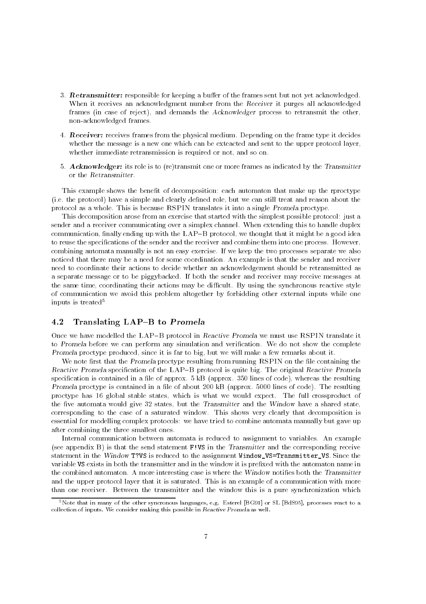- 3. Retransmitter: responsible for keeping a buffer of the frames sent but not yet acknowledged. When it receives an acknowledgment number from the Receiver it purges all acknowledged frames (in case of reject), and demands the Acknowledger process to retransmit the other, non-acknowledged frames.
- 4. Receiver: receives frames from the physical medium. Depending on the frame type it decides whether the message is a new one which can be exteacted and sent to the upper protocol layer, whether immediate retransmission is required or not, and so on.
- 5. Acknowledger: its role is to (re)transmit one or more frames as indicated by the Transmitter or the Retransmitter.

This example shows the benet of decomposition: each automaton that make up the rproctype (i.e. the protocol) have a simple and clearly dened role, but we can still treat and reason about the protocol as a whole. This is because RSPIN translates it into a single Promela proctype.

This decomposition arose from an exercise that started with the simplest possible protocol: just a sender and a receiver communicating over a simplex channel. When extending this to handle duplex communication, finally ending up with the LAP-B protocol, we thought that it might be a good idea to reuse the specications of the sender and the receiver and combine them into one process. However, combining automata manually is not an easy exercise. If we keep the two processes separate we also noticed that there may be a need for some coordination. An example is that the sender and receiver need to coordinate their actions to decide whether an acknowledgement should be retransmitted as a separate message or to be piggybacked. If both the sender and receiver may receive messages at the same time, coordinating their actions may be difficult. By using the synchronous reactive style of communication we avoid this problem altogether by forbidding other external inputs while one inputs is treated<sup>5</sup>

### 4.2 Translating LAP-B to Promela

Once we have modelled the LAP-B protocol in Reactive Promela we must use RSPIN translate it to Promela before we can perform any simulation and verication. We do not show the complete Promela proctype produced, since it is far to big, but we will make a few remarks about it.

We note first that the Promela proctype resulting from running RSPIN on the file containing the Reactive Promela specification of the LAP-B protocol is quite big. The original Reactive Promela specification is contained in a file of approx.  $5 \text{ kB}$  (approx.  $350 \text{ lines of code}$ ), whereas the resulting Promela proctype is contained in a file of about 200 kB (approx. 5000 lines of code). The resulting proctype has 16 global stable states, which is what we would expect. The full crossproduct of the five automata would give  $32$  states, but the Transmitter and the Window have a shared state, corresponding to the case of a saturated window. This shows very clearly that decomposition is essential for modelling complex protocols: we have tried to combine automata manually but gave up after combining the three smallest ones.

Internal communication between automata is reduced to assignment to variables. An example (see appendix B) is that the send statement F!VS in the Transmitter and the corresponding receive statement in the Window T?VS is reduced to the assignment Window\_VS=Transmitter\_VS. Since the variable VS exists in both the transmitter and in the window it is prefixed with the automaton name in the combined automaton. A more interesting case is where the Window notifies both the Transmitter and the upper protocol layer that it is saturated. This is an example of a communication with more than one receiver. Between the transmitter and the window this is a pure synchronization which

 $5$ Note that in many of the other syncronous languages, e.g. Esterel [BG91] or SL [BdS95], processes react to a collection of inputs. We consider making this possible in Reactive Promela as well.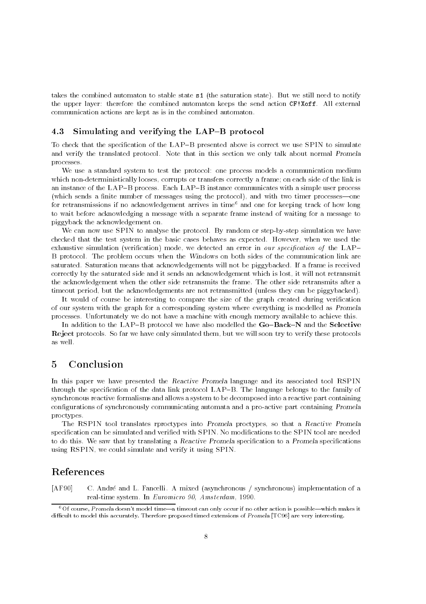takes the combined automaton to stable state s1 (the saturation state). But we still need to notify the upper layer: therefore the combined automaton keeps the send action CF!Xoff. All external communication actions are kept as is in the combined automaton.

#### 4.3 Simulating and verifying the LAP-B protocol

To check that the specification of the LAP-B presented above is correct we use SPIN to simulate and verify the translated protocol. Note that in this section we only talk about normal Promela processes.

We use a standard system to test the protocol: one process models a communication medium which non-deterministically looses, corrupts or transfers correctly a frame; on each side of the link is an instance of the LAP-B process. Each LAP-B instance communicates with a simple user process (which sends a finite number of messages using the protocol), and with two timer processes—one for retransmissions if no acknowledgement arrives in time <sup>6</sup> and one for keeping track of how long to wait before acknowledging a message with a separate frame instead of waiting for a message to piggyback the acknowledgement on.

We can now use SPIN to analyse the protocol. By random or step-by-step simulation we have checked that the test system in the basic cases behaves as expected. However, when we used the exhaustive simulation (verification) mode, we detected an error in our specification of the LAP-B protocol. The problem occurs when the Windows on both sides of the communication link are saturated. Saturation means that acknowledgements will not be piggybacked. If a frame is received correctly by the saturated side and it sends an acknowledgement which is lost, it will not retransmit the acknowledgement when the other side retransmits the frame. The other side retransmits after a timeout period, but the acknowledgements are not retransmitted (unless they can be piggybacked).

It would of course be interesting to compare the size of the graph created during verification of our system with the graph for a corresponding system where everything is modelled as Promela processes. Unfortunately we do not haveamachine with enough memory available to achieve this.

In addition to the LAP-B protocol we have also modelled the  $Go-Back-N$  and the Selective Reject protocols. So far we have only simulated them, but we will soon try to verify these protocols as well.

## $\overline{5}$

In this paper we have presented the Reactive Promela language and its associated tool RSPIN through the specification of the data link protocol  $\text{LAP-B}$ . The language belongs to the family of synchronous reactive formalisms and allows a system to be decomposed into a reactive part containing configurations of synchronously communicating automata and a pro-active part containing Promela proctypes.

The RSPIN tool translates rproctypes into Promela proctypes, so that a Reactive Promela specification can be simulated and verified with SPIN. No modifications to the SPIN tool are needed to do this. We saw that by translating a Reactive Promela specication to a Promela specications using RSPIN, we could simulate and verify it using SPIN.

## References

[AF90] C. Andre and L. Fancelli. A mixed (asynchronous / synchronous) implementation of a real-time system. In Euromicro 90, Amsterdam, 1990.

 $6$ Of course, Promela doesn't model time—a timeout can only occur if no other action is possible—which makes it difficult to model this accurately. Therefore proposed timed extensions of Promela [TC96] are very interesting.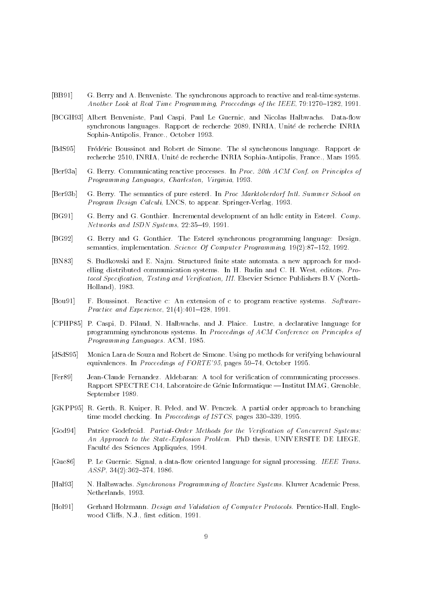- [BB91] G. Berry and A. Benveniste. The synchronous approach to reactive and real-time systems. Another Look at Real Time Programming, Proceedings of the IEEE,  $79:1270{-}1282, 1991$ .
- [BCGH93] Albert Benveniste, Paul Caspi, Paul Le Guernic, and Nicolas Halbwachs. Data-flow synchronous languages. Rapport de recherche 2089, INRIA, Unite de recherche INRIA Sophia-Antipolis, France., October 1993.
- [BdS95] Frederic Boussinot and Robert de Simone. The sl synchronous language. Rapport de recherche 2510, INRIA, Unite de recherche INRIA Sophia-Antipolis, France., Mars 1995.
- [Ber93a] G. Berry. Communicating reactive processes. In Proc. 20th ACM Conf. on Principles of Programming Languages, Charleston, Virginia, 1993.
- [Ber93b] G. Berry. The semantics of pure esterel. In Proc Marktoberdorf Intl. Summer School on Program Design Calculi, LNCS, to appear. Springer-Verlag, 1993.
- [BG91] G. Berry and G. Gonthier. Incremental development of an hdlc entity in Esterel. Comp.  $Networks$  and ISDN Systems,  $22:35-49.1991$ .
- [BG92] G. Berry and G. Gonthier. The Esterel synchronous programming language: Design, semantics, implementation. Science Of Computer Programming, 19(2):87-152, 1992.
- [BN83] S. Budkowski and E. Najm. Structured finite state automata. a new approach for modelling distributed communication systems. In H. Rudin and C. H. West, editors, Protocol Specification, Testing and Verification, III. Elsevier Science Publishers B.V (North-Holland), 1983.
- [Bou91] F. Boussinot. Reactive c: An extension of c to program reactive systems. Software- Practice and Experience,  $21(4)$ : $401-428$ , 1991.
- [CPHP85] P. Caspi, D. Pilaud, N. Halbwachs, and J. Plaice. Lustre, a declarative language for programming synchronous systems. In Proceedings of ACM Conference on Principles of Programming Languages. ACM, 1985.
- [dSdS95] Monica Lara de Souza and Robert de Simone. Using po methods for verifying behavioural equivalences. In *Proceedings of FORTE'95*, pages 59-74, October 1995.
- [Fer89] Jean-Claude Fernandez. Aldebaran: A tool for verication of communicating processes. Rapport SPECTRE C14, Laboratoire de Génie Informatique — Institut IMAG, Grenoble, September 1989.
- [GKPP95] R. Gerth, R. Kuiper, R. Peled, and W. Penczek. A partial order approach to branching time model checking. In *Proceedings of ISTCS*, pages  $330-339$ , 1995.
- [God94] Patrice Godefroid. Partial-Order Methods for the Verification of Concurrent Systems: An Approach to the State-Explosion Problem. PhD thesis, UNIVERSITE DE LIEGE, Faculté des Sciences Appliquées, 1994.
- [Gue86] P. Le Guernic. Signal, a data-flow oriented language for signal processing. IEEE Trans.  $ASSP$ ,  $34(2):362-374$ , 1986.
- [Hal93] N. Halbswachs. Synchronous Programming of Reactive Systems. Kluwer Academic Press, Netherlands, 1993.
- [Hol91] Gerhard Holzmann. Design and Validation of Computer Protocols. Prentice-Hall, Engle wood Cliffs, N.J., first edition, 1991.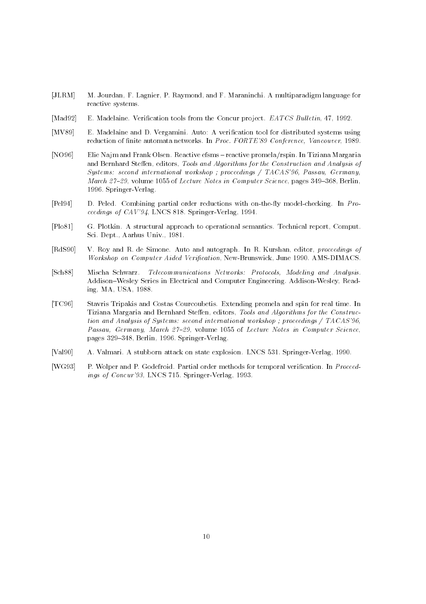- [JLRM] M. Jourdan, F. Lagnier, P. Raymond, and F. Maraninchi. A multiparadigm language for reactive systems.
- [Mad92] E. Madelaine. Verification tools from the Concur project. EATCS Bulletin, 47, 1992.
- [MV89] E. Madelaine and D. Vergamini. Auto: A verication tool for distributed systems using reduction of finite automata networks. In Proc. FORTE'89 Conference, Vancouver, 1989.
- [NO96] Elie Najm and Frank Olsen. Reactive efsms { reactive promela/rspin. In Tiziana Margaria and Bernhard Steffen, editors, Tools and Algorithms for the Construction and Analysis of Systems: second international workshop ; proceedings / TACAS'96, Passau, Germany, March  $27-29$ , volume 1055 of Lecture Notes in Computer Science, pages 349-368, Berlin, 1996. Springer-Verlag.
- [Pel94] D. Peled. Combining partial order reductions with on-the-fly model-checking. In Proceedings of CAV'94, LNCS 818. Springer-Verlag, 1994.
- [Plo81] G. Plotkin. A structural approach to operational semantics. Technical report, Comput. Sci. Dept., Aarhus Univ., 1981.
- [RdS90] V. Roy and R. de Simone. Auto and autograph. In R. Kurshan, editor, *proceedings of* Workshop on Computer Aided Verication, New-Brunswick, June 1990. AMS-DIMACS.
- [Sch88] Mischa Schwarz. Telecommunications Networks: Protocols, Modeling and Analysis. Addison-Wesley Series in Electrical and Computer Engineering. Addison-Wesley, Reading, MA, USA, 1988.
- [TC96] Stavris Tripakis and Costas Courcoubetis. Extending promela and spin for real time. In Tiziana Margaria and Bernhard Steffen, editors, Tools and Algorithms for the Construction and Analysis of Systems: second international workshop ; proceedings / TACAS'96, Passau, Germany, March 27-29, volume 1055 of Lecture Notes in Computer Science, pages 329-348, Berlin, 1996. Springer-Verlag.
- [Val90] A. Valmari. A stubborn attack on state explosion. LNCS 531. Springer-Verlag, 1990.
- [WG93] P. Wolper and P. Godefroid. Partial order methods for temporal verification. In Proceedings of Concur'93, LNCS 715. Springer-Verlag, 1993.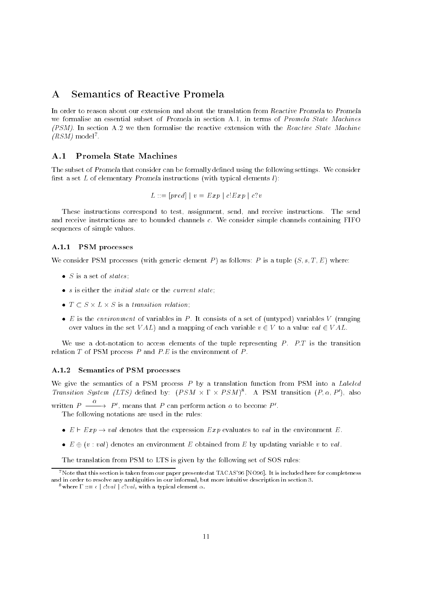#### **Semantics of Reactive Promela**  $\mathbf{A}$

In order to reason about our extension and about the translation from Reactive Promela to Promela we formalise an essential subset of Promela in section A.1, in terms of Promela State Machines (PSM). In section A.2 we then formalise the reactive extension with the Reactive State Machine (RSM) model7 .

#### Promela State Machines  $A.1$

The subset of Promela that consider can be formally defined using the following settings. We consider first a set L of elementary Promela instructions (with typical elements  $l$ ):

$$
L ::= [pred] | v = Exp | c!Exp | c?v
$$

These instructions correspond to test, assignment, send, and receive instructions. The send and receive instructions are to bounded channels  $c$ . We consider simple channels containing FIFO sequences of simple values.

#### A.1.1 PSM processes

We consider PSM processes (with generic element P) as follows: P is a tuple  $(S, s, T, E)$  where:

- S is a set of states;
- $\bullet$  s is either the *initial state* or the *current state*;
- $T \subset S \times L \times S$  is a transition relation;
- $\bullet$  E is the environment of variables in P. It consists of a set of (untyped) variables V (ranging over values in the set  $VAL$ ) and a mapping of each variable  $v \in V$  to a value  $val \in VAL$ .

We use a dot-notation to access elements of the tuple representing  $P$ .  $P$ .  $T$  is the transition relation  $T$  of PSM process  $P$  and  $P.E$  is the environment of  $P$ .

#### A.1.2 Semantics of PSM processes

We give the semantics of a PSM process  $P$  by a translation function from PSM into a Labeled Transition System (LTS) defined by:  $(PSM \times \Gamma \times PSM)^8$ . A PSM transition  $(P, \alpha, P')$ , also

written  $P \longrightarrow P'$ , means that P can perform action  $\alpha$  to become P'. The following notations are used in the rules:

- E  $E \vdash Exp \rightarrow val$  denotes that the expression  $Exp$  evaluates to val in the environment E.
- $\bullet$   $E \oplus (v : val)$  denotes an environment E obtained from E by updating variable v to val.

The translation from PSM to LTS is given by the following set of SOS rules:

<sup>7</sup>Note that this section is taken from our paper presented at TACAS'96 [NO96]. It is included here for completeness and in order to resolve any ambiguities in our informal, but more intuitive description in section 3.

<sup>&</sup>lt;sup>8</sup> where  $\Gamma ::= \epsilon \mid c!val \mid c?val$ , with a typical element  $\alpha$ .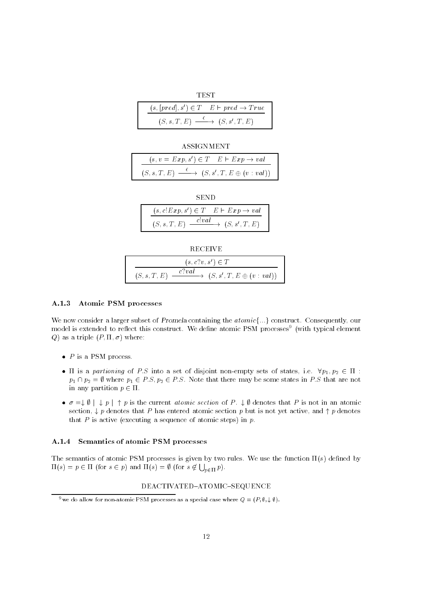| $(s, [pred], s') \in T \quad E \vdash pred \rightarrow True$ |
|--------------------------------------------------------------|
| $(S, s, T, E) \xrightarrow{\epsilon} (S, s', T, E)$          |

#### ASSIGNMENT

| $(s, v = Exp, s') \in T \quad E \vdash Exp \rightarrow val$   |  |
|---------------------------------------------------------------|--|
| $(S, s, T, E) \longrightarrow (S, s', T, E \oplus (v : val))$ |  |

| $(s, c!Exp, s') \in T \quad E \vdash Exp \rightarrow val$ |
|-----------------------------------------------------------|
| $c$ !val<br>(S, s', T, E)<br>(S, s, T, E)                 |

|  |  |  | . . | . . |  |
|--|--|--|-----|-----|--|
|--|--|--|-----|-----|--|

|  | $(s, c?v, s') \in T$                                              |
|--|-------------------------------------------------------------------|
|  | $(S, s, T, E) \xrightarrow{c?val} (S, s', T, E \oplus (v : val))$ |

### A.1.3 Atomic PSM processes

We now consider a larger subset of Promela containing the atomic {...} construct. Consequently, our model is extended to reflect this construct. We define atomic PSM processes (with typical element  $\,$ Q) as a triple  $(P, \Pi, \sigma)$  where:

- $P$  is a PSM process.
- It is a partioning of P.S into a set of disjoint non-empty sets of states, i.e.  $\forall p_1, p_2 \in \Pi$ :  $p_1 \cap p_2 = \emptyset$  where  $p_1 \in P.S, p_2 \in P.S.$  Note that there may be some states in P:S that are not in any partition  $p \in \Pi$ .  $\sigma = \oint \emptyset \mid \downarrow p \mid \uparrow p$  is the current *atomic section* of P.  $\oint \emptyset$  denotes that P is not in an atomic
- section,  $\downarrow p$  denotes that P has entered atomic section p but is not yet active, and  $\uparrow p$  denotes that  $P$  is active (executing a sequence of atomic steps) in  $p$ .

#### A.1.4 Semantics of atomic PSM processes

The semantics of atomic PSM processes is given by two rules. We use the function  $\Pi(s)$  defined by  $\Pi(s) = p \in \Pi$  (for  $s \in p$ ) and  $\Pi(s) = \emptyset$  (for  $s \notin \bigcup_{n \in \Pi} p$ ).

### DEACTIVATED-ATOMIC-SEQUENCE

<sup>&</sup>lt;sup>9</sup> we do allow for non-atomic PSM processes as a special case where  $Q = (P, \emptyset, \downarrow \emptyset)$ .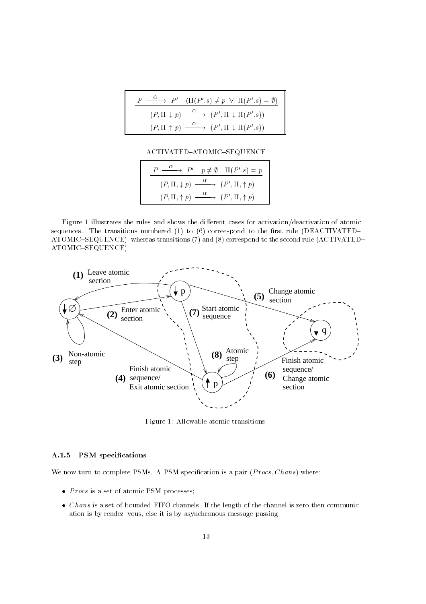| $\overline{\phantom{a}} \longrightarrow P' \quad (\Pi(P'.s) \neq p \ \lor \ \underline{\Pi(P'.s) = \emptyset})$ |  |
|-----------------------------------------------------------------------------------------------------------------|--|
| $(P, \Pi, \downarrow p) \xrightarrow{\alpha} (P', \Pi, \downarrow \Pi(P', s))$                                  |  |
| $(P, \Pi, \uparrow p) \xrightarrow{\alpha} (P', \Pi, \downarrow \Pi(P', s))$                                    |  |

### ACTIVATED-ATOMIC-SEQUENCE

| $P' \quad p \neq \emptyset \quad \Pi(P'.s) = p$                     |
|---------------------------------------------------------------------|
| $(P, \Pi, \downarrow p) \xrightarrow{\alpha} (P', \Pi, \uparrow p)$ |
| $(P, \Pi, \uparrow p) \xrightarrow{\alpha} (P', \Pi, \uparrow p)$   |

Figure 1 illustrates the rules and shows the different cases for activation/deactivation of atomic sequences. The transitions numbered (1) to  $(6)$  correespond to the first rule (DEACTIVATED-ATOMIC-SEQUENCE), whereas transitions (7) and (8) correspond to the second rule (ACTIVATED-ATOMIC-SEQUENCE).



Figure 1: Allowable atomic transitions.

### A.1.5 PSM specifications

We now turn to complete PSMs. A PSM specification is a pair  $(Process, Chans)$  where:

- *Procs* is a set of atomic PSM processes;
- $\bullet$  *Chans* is a set of bounded FIFO channels. If the length of the channel is zero then communication is by rendez-vous, else it is by asynchronous message passing.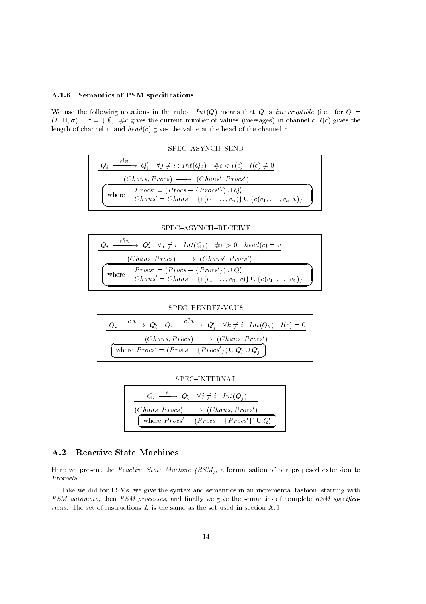### A.1.6 Semantics of PSM specifications

We use the following notations in the following  $\eta$  is the single  $\eta$  is interruptible (i.e. for  $\eta$  = We use the following notations in the rules:  $Int(Q)$  means that Q is *interruptible* (i.e. for  $Q = (P, \Pi, \sigma)$ :  $\sigma = \downarrow \emptyset$ ),  $\#c$  gives the current number of values (messages) in channel c,  $l(c)$  gives the length of channel c, and  $head(c)$  gives the value at the head of the channel c.

| SPEC-ASYNCH-SEND                                                                                                                                                       |  |
|------------------------------------------------------------------------------------------------------------------------------------------------------------------------|--|
| $Q_i \xrightarrow{c \, !\, v} Q'_i \quad \forall j \neq i : Int(Q_j) \quad \#c < l(c) \quad l(c) \neq 0$                                                               |  |
| $(Chans, Procs) \longrightarrow (Chans', Procs')$                                                                                                                      |  |
| $Process' = (Process - \{Process'\}) \cup Q'_i$<br>Chans' = Chans - {c(v <sub>1</sub> , , v <sub>n</sub> )} $\cup$ {c(v <sub>1</sub> , , v <sub>n</sub> , v)}<br>where |  |

SPEC-ASYNCH-RECEIVE

| $Q_i \xrightarrow{c \,:\, v \,} Q'_i \quad \forall j \neq i : Int(Q_j) \quad \#c > 0 \quad head(c) = v$       |  |
|---------------------------------------------------------------------------------------------------------------|--|
| $(Chans, Procs) \longrightarrow (Chans', Procs')$                                                             |  |
| $Procs' = (Procs - {Procs'}) \cup Q'$<br>where<br>Chans' = ${\rm Chans} - {c(u_1,,v_n,v)} \cup {c(v_1,,v_n)}$ |  |

#### SPEC-RENDEZ-VOUS

Qi c!v ! <sup>Q</sup><sup>0</sup> <sup>i</sup> Qj c?v ! Q0j 8k 6= <sup>i</sup> : Int(Qk) l(c)=0 (Chans; P rocs) ! (Chans; P rocs0) where P rocs<sup>0</sup> = (P rocs fP rocs0g) [ Q0 <sup>i</sup> [ Q0j

#### SPEC-INTERNAL

| $\longrightarrow Q'_i \quad \forall j \neq i : Int(Q_j)$ |
|----------------------------------------------------------|
| $(Chans, Procs) \longrightarrow (Chans, Procs')$         |
| where $Procs' = (Procs - \{Procs'\}) \cup Q'_i$          |

#### $A.2$ **Reactive State Machines**

Here we present the Reactive State Machine (RSM), a formalisation of our proposed extension to Promela.

Like we did for PSMs, we give the syntax and semantics in an incremental fashion, starting with RSM automata, then  $RSM$  processes, and finally we give the semantics of complete  $RSM$  specifications. The set of instructions  $L$  is the same as the set used in section A.1.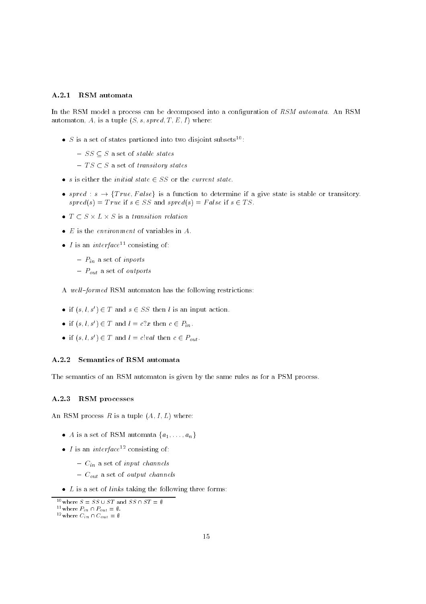#### $A.2.1$ **BSM** automata

In the RSM model a process can be decomposed into a configuration of RSM automata. An RSM automaton, A, is a tuple  $(S, s, spred, T, E, I)$  where:

- S is a set of states partioned into two disjoint subsets<sup>10</sup>:
	- $-SS \subseteq S$  a set of *stable states*
	- $-TS \subset S$  a set of transitory states
- s is either the *initial state*  $\in SS$  or the *current state*.
- *s* is either the *initial state*  $\in SS$  or the *current state*.<br>• *spred* : *s*  $\rightarrow$  {*True*, *False*} is a function to determine if a give state is stable or transitory.  $spred(s) = True$  if  $s \in SS$  and  $spred(s) = False$  if  $s \in TS$ .
- $T \subset S \times L \times S$  is a transition relation
- $\bullet$  E is the *environment* of variables in A.
- I is an *interface*<sup>11</sup> consisting of:
	- $P_{in}$  a set of *inports*
	- $= P_{out}$  a set of *outports*

A well-formed RSM automaton has the following restrictions:

- if  $(s, l, s') \in T$  and  $s \in SS$  then l is an input action.
- if  $(s, l, s') \in T$  and  $l = c$ ?x then  $c \in P_{in}$ .
- if  $(s, l, s') \in T$  and  $l = c!val$  then  $c \in P_{out}$ .

### A.2.2 Semantics of RSM automata

The semantics of an RSM automaton is given by the same rules as for a PSM process.

### A.2.3 RSM processes

An RSM process R is a tuple  $(A, I, L)$  where:

- A is a set of RSM automata  $\{a_1, \ldots, a_n\}$
- I is an *interface*<sup>12</sup> consisting of:
	- $C_{in}$  a set of *input channels*
	- $= C_{out}$  a set of *output channels*
- $\bullet$  L is a set of *links* taking the following three forms:

<sup>&</sup>lt;sup>10</sup> where  $S = SS \cup ST$  and  $SS \cap ST = \emptyset$ 

<sup>&</sup>lt;sup>11</sup> where  $P_{in} \cap P_{out} = \emptyset$ .

<sup>&</sup>lt;sup>12</sup> where  $C_{in} \cap C_{out} = \emptyset$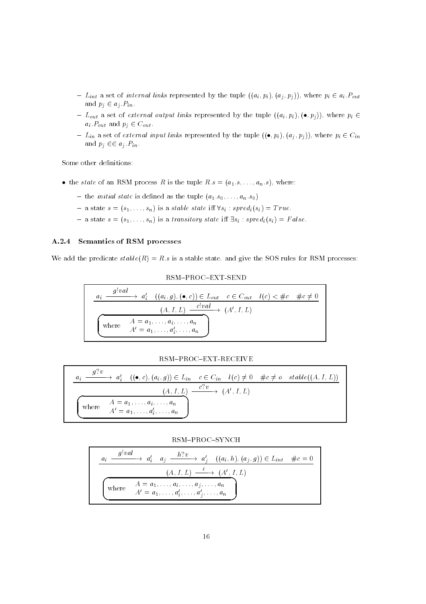- ${\cal L}_{int}$  a set of *internal links* represented by the tuple  $((a_i, p_i), (a_j, p_j))$ , where  $p_i \in a_i.P_{out}$ and  $p_j \in a_j \cdot P_{in}$ .
- ${\cal L}_{out}$  a set of external output links represented by the tuple  $((a_i, p_i), (\bullet, p_j))$ , where  $p_i \in$  $a_i.P_{out}$  and  $p_j \in C_{out}$ .
- ${\cal L}_{in}$  a set of external input links represented by the tuple  $((\bullet, p_i), (a_j, p_j))$ , where  $p_i \in C_{in}$ and  $p_j \in \in a_j \cdot P_{in}$ .

Some other definitions:

- the *state* of an RSM process R is the tuple  $R.s = (a_1.s, \ldots, a_n.s)$ , where:
	- the *initial state* is defined as the tuple  $(a_1.s_0, \ldots, a_n.s_0)$
	- $=$  a state  $s = (s_1, \ldots, s_n)$  is a stable state iff  $\forall s_i : spread_i(s_i) = True$ .
	- ${ }_{ }$  a state  ${s} = (s_1, \ldots, s_n)$  is a transitory state iff  $\exists s_i : spred_i(s_i) = False$ .

### A.2.4 Semantics of RSM processes

We add the predicate  $stable(R) = R.s$  is a stable state. and give the SOS rules for RSM processes:

#### RSM-PROC-EXT-SEND

$$
\underbrace{a_i \xrightarrow{glval} a'_i \quad ((a_i, g), (\bullet, c)) \in L_{out} \quad c \in C_{out} \quad l(c) < \#c \quad \#c \neq 0}_{(A, I, L) \xrightarrow{clval} (A', I, L)}
$$
\n
$$
\underbrace{(A, I, L) \xrightarrow{clval} (A', I, L)}_{A' = a_1, \dots, a'_i, \dots, a_n}
$$

### RSM-PROC-EXT-RECEIVE

$$
\underbrace{a_i \xrightarrow{g?v} a'_i \quad ((\bullet, c), (a_i, g)) \in L_{in} \quad c \in C_{in} \quad l(c) \neq 0 \quad \#c \neq o \quad stable((A, I, L))}{(A, I, L) \xrightarrow{c?v} (A', I, L)}
$$
\nwhere\n
$$
\underbrace{A = a_1, \dots, a_i, \dots, a_n}_{A' = a_1, \dots, a'_i, \dots, a_n}
$$

#### RSM-PROC-SYNCH

$$
\begin{array}{c}\n a_i \xrightarrow{g!val} a'_i \quad a_j \xrightarrow{h?v} a'_j \quad ((a_i, h), (a_j, g)) \in L_{int} \quad \#c = 0 \\
 \xrightarrow{(A, I, L)} \xrightarrow{\epsilon} (A', I, L) \\
 \text{where} \quad A = a_1, \dots, a_i, \dots, a_j, \dots, a_n \\
 A' = a_1, \dots, a'_i, \dots, a'_j, \dots, a_n\n \end{array}
$$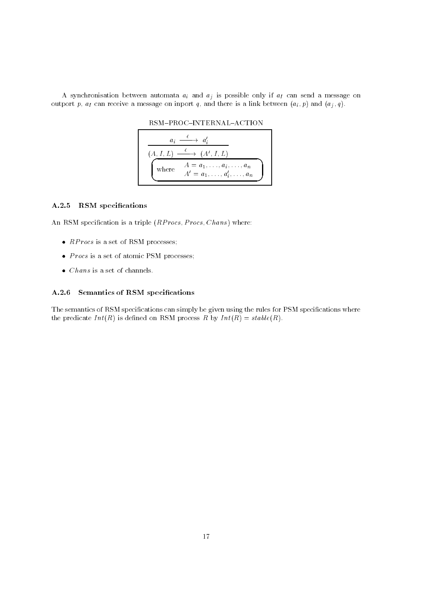A synchronisation between automata  $a_i$  and  $a_j$  is possible only if  $a_I$  can send a message on outport p,  $a_I$  can receive a message on inport q, and there is a link between  $(a_i, p)$  and  $(a_j, q)$ .

RSM-PROC-INTERNAL-ACTION



### A.2.5 RSM specifications

An RSM specification is a triple  $(RProcess, Process, Chans)$  where:

- $RP$  rocs is a set of RSM processes;
- *Procs* is a set of atomic PSM processes;
- $\bullet$  *Chans* is a set of channels.

### A.2.6 Semantics of RSM specifications

The semantics of RSM specifications can simply be given using the rules for PSM specifications where the predicate  $Int(R)$  is defined on RSM process R by  $Int(R) = stable(R)$ .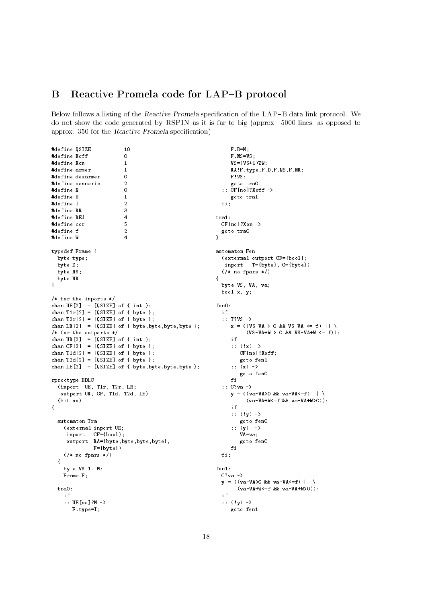#### $\overline{B}$ Reactive Promela code for LAP-B protocol

Below follows a listing of the Reactive Promela specification of the LAP-B data link protocol. We do not show the code generated by RSPIN as it is far to big (approx. 5000 lines, as opposed to approx. 350 for the Reactive Promela specification).

```
#define QSIZE 10
                         \Omega#define Xon 1
#define armer
                         \mathbf{1}#define desarmer 0
#define sonnerie 2
#define N
                         \Omega#define U 1
#define I
                         \overline{2}#define RR
                         \mathbf{3}#define REJ 4
#define cor
                         -5
#define f 2
#define W
                         \overline{4}typedef Frame {
  ..<br>byte type;
  byte D;
  byte NS;
 byte NR
Ą,
}
/* for the inports */
chan UE[2] = [QSIZE] of { int };
chan Tr[2] = [0SIZE] of \{ byte \}:
chan T2r[2] = [QSIZE] of { byte };
chan LR[2] = [QSIZE] of { byte, byte, byte, byte };
/* for the outports */
chan UR[2] = [QSIZE] of \{int\};
chan CF[2] = [QSIZE] of { byte };
chan T1d[2] = [QSIZE] of { byte };
chan T2d[2] = [QSIZE] of { byte };chan LE[2] = [QSIZE] of { byte, byte, byte, byte };
rproctype HDLC
  (inport UE, T1r, T2r, LR;
   outport UR, CF, T1d, T2d, LE)
  (bit no)
\mathbf{f}\sim \simautomaton Tra
    (external inport UE;
     inport CF={bool};
     outport RA={byte,byte,byte,byte},
              F = \{byte\})\left(\frac{1}{2} \times \frac{1}{2} \right)\mathcal{L}{\bf r} and {\bf r} and {\bf r}byte VS=1, M;
    Frame F;
  tra0:
    if
    :: UE[no]?M ->
       F.type=I;
```

```
F.D=M:
      F.NS=VS;
      VS=(VS+1)%W;
      RA!F.type,F.D,F.NS,F.NR;
     F!VS;
      goto tra0
  :: CF[no]?Xoff ->
     goto tra1
  fi;
tra1:
  CF[no]?Xon ->
  goto tra0
\mathbf{v}}
automaton Fen
  (external outport CF={bool};
   inport T={byte}, C={byte})
  \left(\sqrt{*}\right) no fpars \sqrt{*})
\left\{ \right.{\bf r}byte VS, VA, va;
  bool x, y;
fen0:
  if
  : T?VS \rightarrowx = ((VS-VA > 0 & 2 & VS-VA < = f) ||)(VS-VA+W > 0 && VS-VA+W \le f);
     i f:: (!x) ->
         CF[no]!Xoff;
         goto fen1
     \therefore (x) \rightarrowgoto fen0
     fi
  :: C?va ->
     y = ((va-VA>0 & w & va-VA<-f) || \ \ \lambda(va-VA+W<=f && va-VA+W>0);
     i f:: (!y) ->
         goto fen0
      :: (y) ->
         VA=va;
         goto fen0
  f_i:
   fig. finally
fen1:
  C?va ->
  y = ((va-VA>0 & & v a-VA<=f) || \ \ \lambda(va-VA+W<=f && va-VA+W>0);
  if
  :: (!y) ->
     goto fen1
```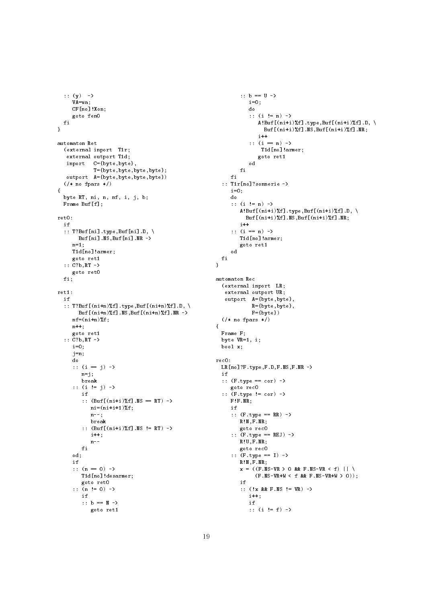```
:: (y) ->
     VA=va;
      CF[no]!Xon;
      goto fen0
  fi
}
automaton Ret
   (external inport T1r;
    external outport T1d;
    inport C={byte,byte},
              T={byte,byte,byte,byte};
   outport A={byte,byte,byte,byte})
   \frac{1}{\sqrt{1 + n}} no fpars \frac{1}{\sqrt{1 + n}}{
   byte RT, ni, n, nf, i, j, b;
  Frame Buf[f];
ret0:if
  :: T?Buf[ni].type,Buf[ni].D, \
         Buf[ni]. NS, Buf[ni]. NR ->
      n=1;T1d[no]!armer;
      goto ret1
   :: C?b,RT ->
      goto ret0
  f i
   fig. finally
_{\text{ret1}}:
   :: T?Buf[ (ni+n)%f].type,Buf[(ni+n)%f].D, \
        Buff[(ni+n)/f].NS, Buf[(ni+n)/f].NR ->
      nf=(ni+n)/f;n++;goto ret1
   :: C?b,RT ->
      i=0;
      j=n;do
      \cdots (i == i) ->
       :: (i == j) ->
          n=j;break
      :: (i != j) ->
          if
          :: (Buf[(ni+i)]'f].NS == RT) ->
              ni=(ni+i+1)/f;n=-;
              break
           :: (Buffalo and the property for the property of the property of the property of the property of the property of the property of the property of the property of the property of the property of the property of the property 
              i++;
              n--
          f_iod;
      if:: (n == 0) ->
          T1d[no]!desarmer;
          goto ret0
      :: (n := 0) \rightarrowi f:: b == N ->
              goto ret1
```

```
:: b == U ->
           i=0;
           do
              A!Buf[(ni+i)\%f].type,Buf[(ni+i)\%f].D, \n\Buff[(ni+i)\%f].NS,Buff[(ni+i)\%f].NR;
              i++:: (i == n) ->
               T1d[no]!armer;
              goto ret1
           od
        f i
     fi
  :: T1r[no]?sonnerie ->
    i=0;
        A!Buf[(ni+i)\%f].type,Buf[(ni+i)\%f].D, \ \ \ \ \Buf[(ni+i)%f].NS,Buf[(ni+i)%f].NR;
        i++:: (i == n) ->
        T1d[no]!armer;
        goto ret1
     od
 f_i}
automaton Rec
  (external inport LR;
   external outport UR;
   outport A={byte,byte},
            R={byte,byte},
            F=\{byte\})(/* no fpars */)
 Frame F;
 byte VR=1, i;
 bool x;
rec0:
 LR[no]?F.type,F.D,F.NS,F.NR ->
  :: (F.type == cor) ->
     goto rec0
  :: (F.type != cor) ->
    F!F.NR;
     :: (F.type == RR) ->
        R!N,F.NR;
        goto rec0
     :: (F type == REJ) ->
       R!U,F.NR;
        goto rec0
     :: (F-type == I) ->
        R!N,F.NR;
        x = ((F.MS-VR > 0 & 22F.MS-VR < f) || \ \ \ \(F.NS-VR+W < f & \& F.NS-VR+W > 0));
        if
        :: (!x && F.NS != VR) ->
           i++;
           if
           :: (i := f) \rightarrow
```
{

 $\mathbf{r}$